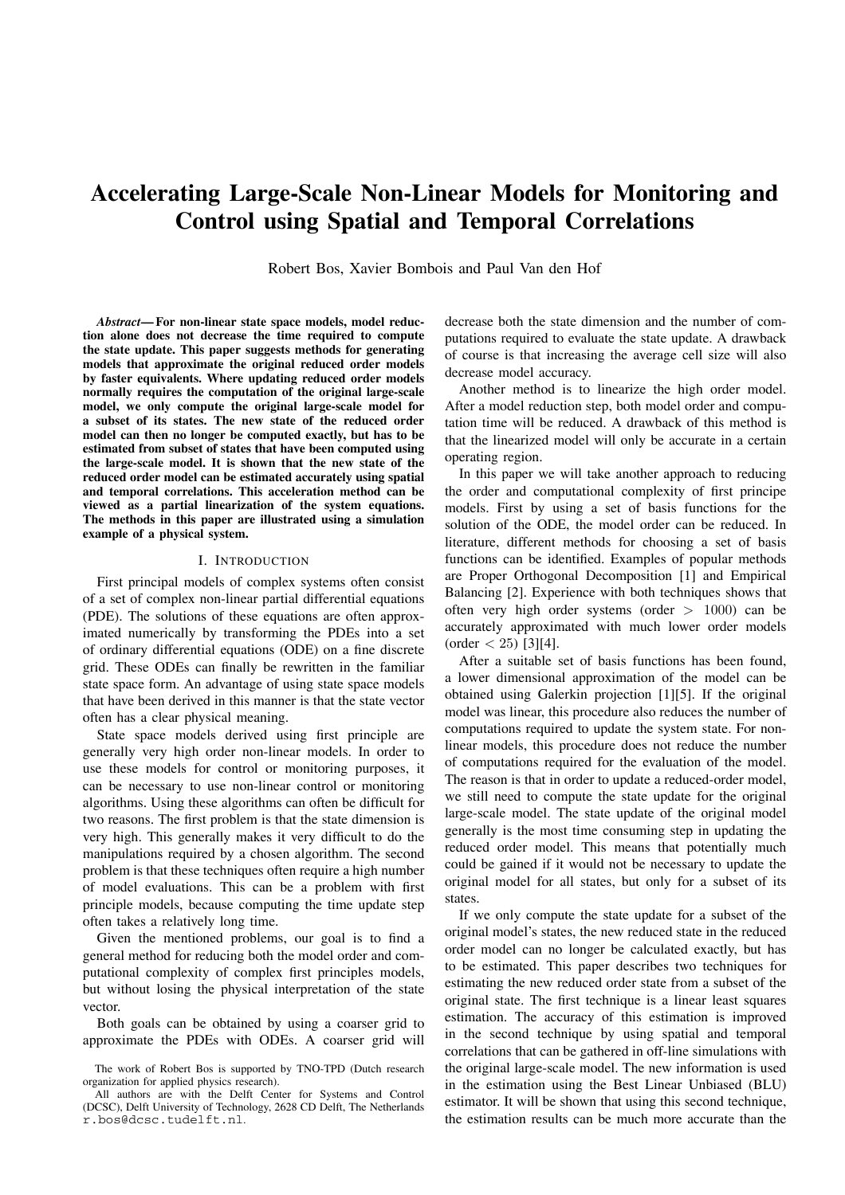# **Accelerating Large-Scale Non-Linear Models for Monitoring and Control using Spatial and Temporal Correlations**

Robert Bos, Xavier Bombois and Paul Van den Hof

*Abstract***— For non-linear state space models, model reduction alone does not decrease the time required to compute the state update. This paper suggests methods for generating models that approximate the original reduced order models by faster equivalents. Where updating reduced order models normally requires the computation of the original large-scale model, we only compute the original large-scale model for a subset of its states. The new state of the reduced order model can then no longer be computed exactly, but has to be estimated from subset of states that have been computed using the large-scale model. It is shown that the new state of the reduced order model can be estimated accurately using spatial and temporal correlations. This acceleration method can be viewed as a partial linearization of the system equations. The methods in this paper are illustrated using a simulation example of a physical system.**

#### I. INTRODUCTION

First principal models of complex systems often consist of a set of complex non-linear partial differential equations (PDE). The solutions of these equations are often approximated numerically by transforming the PDEs into a set of ordinary differential equations (ODE) on a fine discrete grid. These ODEs can finally be rewritten in the familiar state space form. An advantage of using state space models that have been derived in this manner is that the state vector often has a clear physical meaning.

State space models derived using first principle are generally very high order non-linear models. In order to use these models for control or monitoring purposes, it can be necessary to use non-linear control or monitoring algorithms. Using these algorithms can often be difficult for two reasons. The first problem is that the state dimension is very high. This generally makes it very difficult to do the manipulations required by a chosen algorithm. The second problem is that these techniques often require a high number of model evaluations. This can be a problem with first principle models, because computing the time update step often takes a relatively long time.

Given the mentioned problems, our goal is to find a general method for reducing both the model order and computational complexity of complex first principles models, but without losing the physical interpretation of the state vector.

Both goals can be obtained by using a coarser grid to approximate the PDEs with ODEs. A coarser grid will decrease both the state dimension and the number of computations required to evaluate the state update. A drawback of course is that increasing the average cell size will also decrease model accuracy.

Another method is to linearize the high order model. After a model reduction step, both model order and computation time will be reduced. A drawback of this method is that the linearized model will only be accurate in a certain operating region.

In this paper we will take another approach to reducing the order and computational complexity of first principe models. First by using a set of basis functions for the solution of the ODE, the model order can be reduced. In literature, different methods for choosing a set of basis functions can be identified. Examples of popular methods are Proper Orthogonal Decomposition [1] and Empirical Balancing [2]. Experience with both techniques shows that often very high order systems (order  $> 1000$ ) can be accurately approximated with much lower order models  $\text{(order} < 25)$  [3][4].

After a suitable set of basis functions has been found, a lower dimensional approximation of the model can be obtained using Galerkin projection [1][5]. If the original model was linear, this procedure also reduces the number of computations required to update the system state. For nonlinear models, this procedure does not reduce the number of computations required for the evaluation of the model. The reason is that in order to update a reduced-order model, we still need to compute the state update for the original large-scale model. The state update of the original model generally is the most time consuming step in updating the reduced order model. This means that potentially much could be gained if it would not be necessary to update the original model for all states, but only for a subset of its states.

If we only compute the state update for a subset of the original model's states, the new reduced state in the reduced order model can no longer be calculated exactly, but has to be estimated. This paper describes two techniques for estimating the new reduced order state from a subset of the original state. The first technique is a linear least squares estimation. The accuracy of this estimation is improved in the second technique by using spatial and temporal correlations that can be gathered in off-line simulations with the original large-scale model. The new information is used in the estimation using the Best Linear Unbiased (BLU) estimator. It will be shown that using this second technique, the estimation results can be much more accurate than the

The work of Robert Bos is supported by TNO-TPD (Dutch research organization for applied physics research).

All authors are with the Delft Center for Systems and Control (DCSC), Delft University of Technology, 2628 CD Delft, The Netherlands r.bos@dcsc.tudelft.nl.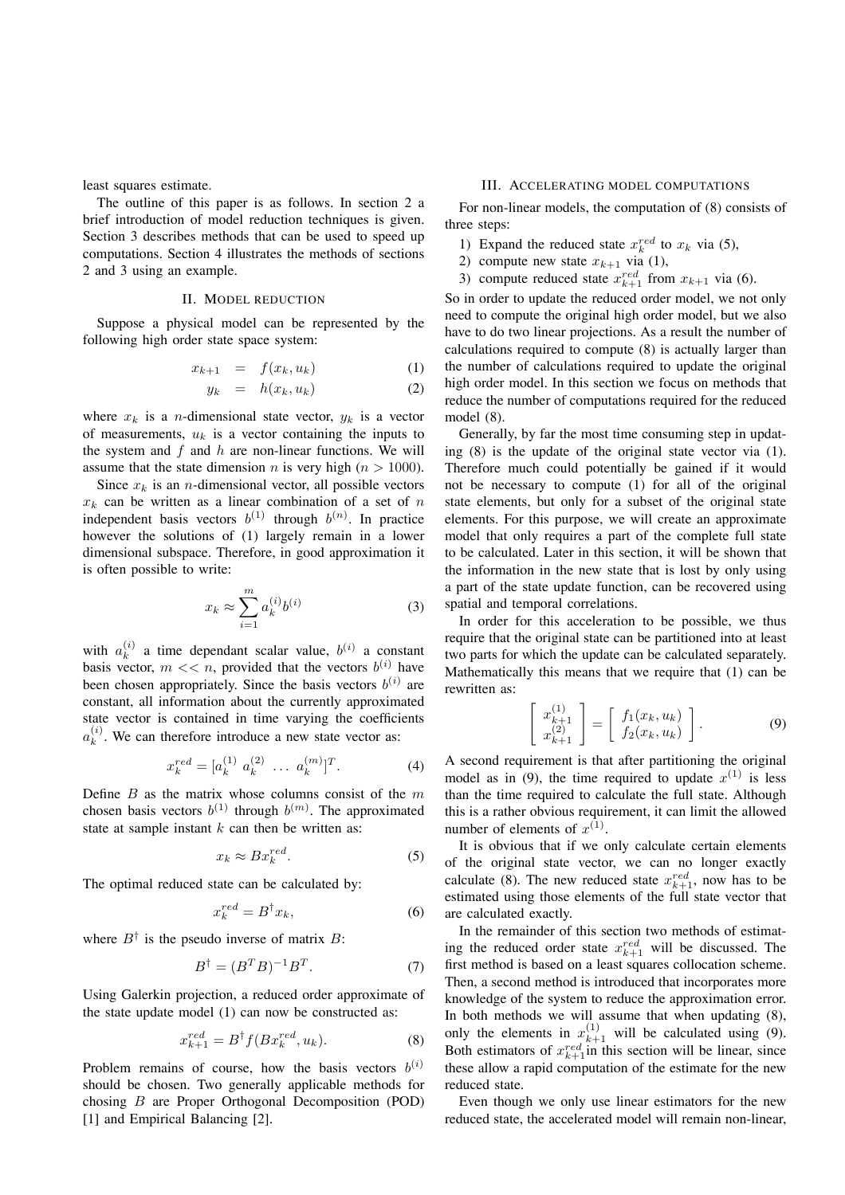least squares estimate.

The outline of this paper is as follows. In section 2 a brief introduction of model reduction techniques is given. Section 3 describes methods that can be used to speed up computations. Section 4 illustrates the methods of sections 2 and 3 using an example.

# II. MODEL REDUCTION

Suppose a physical model can be represented by the following high order state space system:

$$
x_{k+1} = f(x_k, u_k) \tag{1}
$$

$$
y_k = h(x_k, u_k) \tag{2}
$$

where  $x_k$  is a *n*-dimensional state vector,  $y_k$  is a vector of measurements, u*<sup>k</sup>* is a vector containing the inputs to the system and  $f$  and  $h$  are non-linear functions. We will assume that the state dimension *n* is very high ( $n > 1000$ ).

Since  $x_k$  is an *n*-dimensional vector, all possible vectors  $x_k$  can be written as a linear combination of a set of n independent basis vectors  $b^{(1)}$  through  $b^{(n)}$ . In practice however the solutions of (1) largely remain in a lower dimensional subspace. Therefore, in good approximation it is often possible to write:

$$
x_k \approx \sum_{i=1}^m a_k^{(i)} b^{(i)} \tag{3}
$$

with  $a_k^{(i)}$  a time dependant scalar value,  $b^{(i)}$  a constant basis vector,  $m \ll n$ , provided that the vectors  $b^{(i)}$  have been chosen appropriately. Since the basis vectors  $b^{(i)}$  are constant, all information about the currently approximated state vector is contained in time varying the coefficients  $a_k^{(i)}$ . We can therefore introduce a new state vector as:

$$
x_k^{red} = [a_k^{(1)} \ a_k^{(2)} \ \dots \ a_k^{(m)}]^T. \tag{4}
$$

Define  $B$  as the matrix whose columns consist of the  $m$ chosen basis vectors  $b^{(1)}$  through  $b^{(m)}$ . The approximated state at sample instant  $k$  can then be written as:

$$
x_k \approx B x_k^{red}.\tag{5}
$$

The optimal reduced state can be calculated by:

$$
x_k^{red} = B^{\dagger} x_k,\tag{6}
$$

where  $B^{\dagger}$  is the pseudo inverse of matrix B:

$$
B^{\dagger} = (B^T B)^{-1} B^T. \tag{7}
$$

Using Galerkin projection, a reduced order approximate of the state update model (1) can now be constructed as:

$$
x_{k+1}^{red} = B^{\dagger} f(Bx_k^{red}, u_k). \tag{8}
$$

Problem remains of course, how the basis vectors  $b^{(i)}$ should be chosen. Two generally applicable methods for chosing B are Proper Orthogonal Decomposition (POD) [1] and Empirical Balancing [2].

#### III. ACCELERATING MODEL COMPUTATIONS

For non-linear models, the computation of (8) consists of three steps:

- 1) Expand the reduced state  $x_k^{red}$  to  $x_k$  via (5),
- 2) compute new state  $x_{k+1}$  via (1),
- 3) compute reduced state  $x_{k+1}^{red}$  from  $x_{k+1}$  via (6).

So in order to update the reduced order model, we not only need to compute the original high order model, but we also have to do two linear projections. As a result the number of calculations required to compute (8) is actually larger than the number of calculations required to update the original high order model. In this section we focus on methods that reduce the number of computations required for the reduced model (8).

Generally, by far the most time consuming step in updating (8) is the update of the original state vector via (1). Therefore much could potentially be gained if it would not be necessary to compute (1) for all of the original state elements, but only for a subset of the original state elements. For this purpose, we will create an approximate model that only requires a part of the complete full state to be calculated. Later in this section, it will be shown that the information in the new state that is lost by only using a part of the state update function, can be recovered using spatial and temporal correlations.

In order for this acceleration to be possible, we thus require that the original state can be partitioned into at least two parts for which the update can be calculated separately. Mathematically this means that we require that (1) can be rewritten as:

$$
\begin{bmatrix} x_{k+1}^{(1)} \\ x_{k+1}^{(2)} \end{bmatrix} = \begin{bmatrix} f_1(x_k, u_k) \\ f_2(x_k, u_k) \end{bmatrix} . \tag{9}
$$

A second requirement is that after partitioning the original model as in (9), the time required to update  $x^{(1)}$  is less than the time required to calculate the full state. Although this is a rather obvious requirement, it can limit the allowed number of elements of  $x^{(1)}$ .

It is obvious that if we only calculate certain elements of the original state vector, we can no longer exactly calculate (8). The new reduced state  $x_{k+1}^{red}$ , now has to be estimated using those elements of the full state vector that are calculated exactly.

In the remainder of this section two methods of estimating the reduced order state  $x_{k+1}^{red}$  will be discussed. The first method is based on a least squares collocation scheme. Then, a second method is introduced that incorporates more knowledge of the system to reduce the approximation error. In both methods we will assume that when updating (8), only the elements in  $x_{k+1}^{(1)}$  will be calculated using (9). Both estimators of  $x_{k+1}^{red}$  in this section will be linear, since these allow a rapid computation of the estimate for the new reduced state.

Even though we only use linear estimators for the new reduced state, the accelerated model will remain non-linear,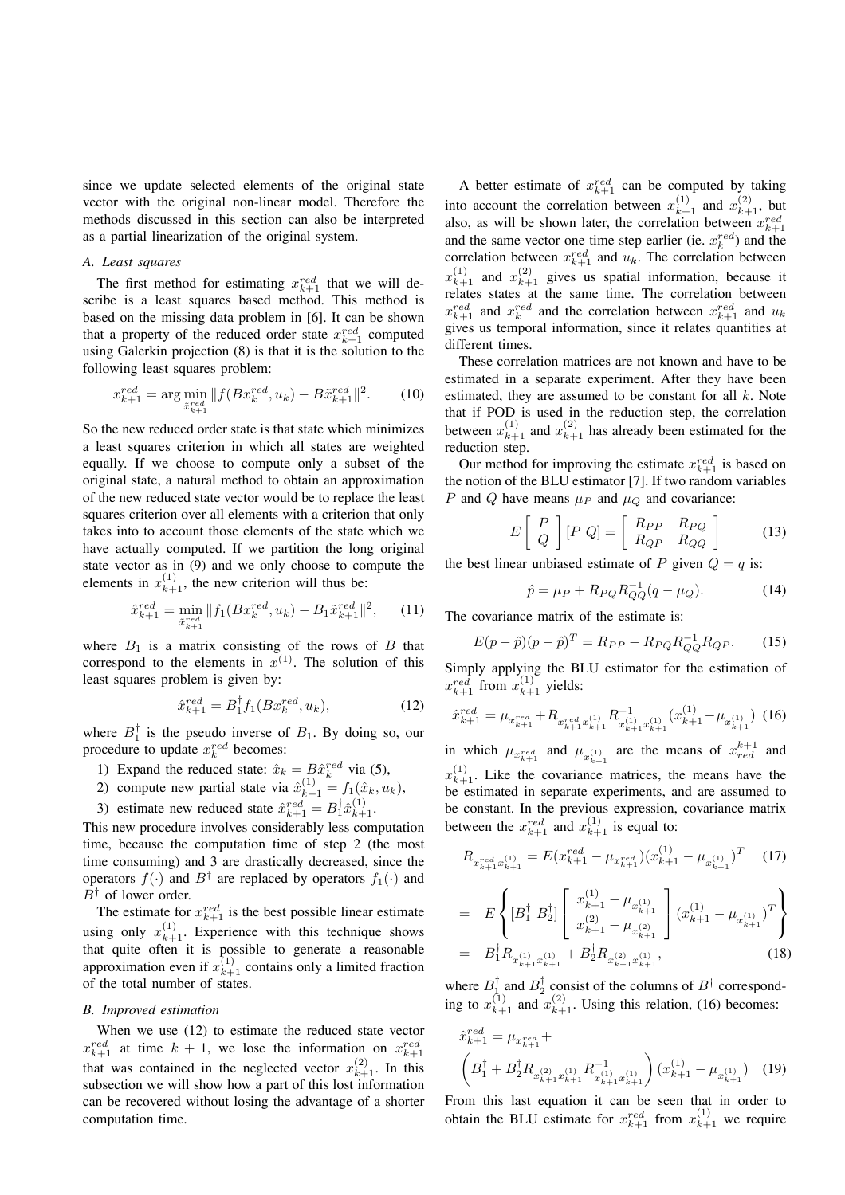since we update selected elements of the original state vector with the original non-linear model. Therefore the methods discussed in this section can also be interpreted as a partial linearization of the original system.

# *A. Least squares*

The first method for estimating  $x_{k+1}^{red}$  that we will describe is a least squares based method. This method is based on the missing data problem in [6]. It can be shown that a property of the reduced order state  $x_{k+1}^{red}$  computed using Galerkin projection (8) is that it is the solution to the following least squares problem:

$$
x_{k+1}^{red} = \arg\min_{\tilde{x}_{k+1}^{red}} \| f(Bx_k^{red}, u_k) - B\tilde{x}_{k+1}^{red} \|^2. \tag{10}
$$

So the new reduced order state is that state which minimizes a least squares criterion in which all states are weighted equally. If we choose to compute only a subset of the original state, a natural method to obtain an approximation of the new reduced state vector would be to replace the least squares criterion over all elements with a criterion that only takes into to account those elements of the state which we have actually computed. If we partition the long original state vector as in (9) and we only choose to compute the elements in  $x_{k+1}^{(1)}$ , the new criterion will thus be:

$$
\hat{x}_{k+1}^{red} = \min_{\tilde{x}_{k+1}^{red}} \| f_1(Bx_k^{red}, u_k) - B_1 \tilde{x}_{k+1}^{red} \|^2, \qquad (11)
$$

where  $B_1$  is a matrix consisting of the rows of B that correspond to the elements in  $x^{(1)}$ . The solution of this least squares problem is given by:

$$
\hat{x}_{k+1}^{red} = B_1^{\dagger} f_1(B x_k^{red}, u_k), \tag{12}
$$

where  $B_1^{\dagger}$  is the pseudo inverse of  $B_1$ . By doing so, our procedure to update  $x_k^{red}$  becomes:

- 1) Expand the reduced state:  $\hat{x}_k = B\hat{x}_k^{red}$  via (5),<br>2) compute now period state  $\hat{x}_k^{(1)}$  f ( $\hat{x}_k^{(2)}$ )
- 2) compute new partial state via  $\hat{x}_{k+1}^{(1)} = f_1(\hat{x}_k, u_k)$ ,
- 3) estimate new reduced state  $\hat{x}_{k+1}^{red} = B_1^{\dagger} \hat{x}_{k+1}^{(1)}$

This new procedure involves considerably less computation time, because the computation time of step 2 (the most time consuming) and 3 are drastically decreased, since the operators  $f(\cdot)$  and  $B^{\dagger}$  are replaced by operators  $f_1(\cdot)$  and B*†* of lower order.

The estimate for  $x_{k+1}^{red}$  is the best possible linear estimate using only  $x_{k+1}^{(1)}$ . Experience with this technique shows that quite often it is possible to generate a reasonable approximation even if  $x_{k+1}^{(1)}$  contains only a limited fraction of the total number of states.

#### *B. Improved estimation*

When we use (12) to estimate the reduced state vector  $x_{k+1}^{red}$  at time  $k + 1$ , we lose the information on  $x_{k+1}^{red}$ that was contained in the neglected vector  $x_{k+1}^{(2)}$ . In this subsection we will show how a part of this lost information can be recovered without losing the advantage of a shorter computation time.

A better estimate of  $x_{k+1}^{red}$  can be computed by taking into account the correlation between  $x_{k+1}^{(1)}$  and  $x_{k+1}^{(2)}$ , but also, as will be shown later, the correlation between  $x_{k+1}^{n}$ and the same vector one time step earlier (ie.  $x_k^{red}$ ) and the correlation between  $x_{k+1}^{red}$  and  $u_k$ . The correlation between  $x_{k+1}^{(1)}$  and  $x_{k+1}^{(2)}$  gives us spatial information, because it relates states at the same time. The correlation between  $x_{k+1}^{red}$  and  $x_k^{red}$  and the correlation between  $x_{k+1}^{red}$  and  $u_k$ gives us temporal information, since it relates quantities at different times.

These correlation matrices are not known and have to be estimated in a separate experiment. After they have been estimated, they are assumed to be constant for all  $k$ . Note that if POD is used in the reduction step, the correlation between  $x_{k+1}^{(1)}$  and  $x_{k+1}^{(2)}$  has already been estimated for the reduction step.

Our method for improving the estimate  $x_{k+1}^{red}$  is based on the notion of the BLU estimator [7]. If two random variables P and Q have means  $\mu_P$  and  $\mu_Q$  and covariance:

$$
E\left[\begin{array}{c} P \\ Q \end{array}\right][P\ Q] = \left[\begin{array}{cc} R_{PP} & R_{PQ} \\ R_{QP} & R_{QQ} \end{array}\right] \tag{13}
$$

the best linear unbiased estimate of P given  $Q = q$  is:

$$
\hat{p} = \mu_P + R_{PQ} R_{QQ}^{-1} (q - \mu_Q). \tag{14}
$$

The covariance matrix of the estimate is:

$$
E(p - \hat{p})(p - \hat{p})^T = R_{PP} - R_{PQ}R_{QQ}^{-1}R_{QP}.
$$
 (15)

Simply applying the BLU estimator for the estimation of  $x_{k+1}^{red}$  from  $x_{k+1}^{(1)}$  yields:

$$
\hat{x}_{k+1}^{red} = \mu_{x_{k+1}^{red}} + R_{x_{k+1}^{red} x_{k+1}^{(1)}} R_{x_{k+1}^{(1)} x_{k+1}^{(1)}}^{-1} (x_{k+1}^{(1)} - \mu_{x_{k+1}^{(1)}}) (16)
$$

in which  $\mu_{x_{k+1}^{red}}$  and  $\mu_{x_{k+1}^{(1)}}$  are the means of  $x_{red}^{k+1}$  and  $x_{k+1}^{(1)}$ . Like the covariance matrices, the means have the be estimated in separate experiments, and are assumed to be constant. In the previous expression, covariance matrix between the  $x_{k+1}^{red}$  and  $x_{k+1}^{(1)}$  is equal to:

$$
R_{x_{k+1}^{red}x_{k+1}^{(1)}} = E(x_{k+1}^{red} - \mu_{x_{k+1}^{red}})(x_{k+1}^{(1)} - \mu_{x_{k+1}^{(1)}})^T \quad (17)
$$

$$
= E\left\{ [B_1^{\dagger} \ B_2^{\dagger}] \begin{bmatrix} x_{k+1}^{(1)} - \mu_{x_{k+1}^{(1)}} \\ x_{k+1}^{(2)} - \mu_{x_{k+1}^{(2)}} \end{bmatrix} (x_{k+1}^{(1)} - \mu_{x_{k+1}^{(1)}})^T \right\}
$$
  

$$
= B_1^{\dagger} R_{x_{k+1}^{(1)} x_{k+1}^{(1)}} + B_2^{\dagger} R_{x_{k+1}^{(2)} x_{k+1}^{(1)}} , \qquad (18)
$$

where  $B_1^{\dagger}$  and  $B_2^{\dagger}$  consist of the columns of  $B^{\dagger}$  corresponding to  $x_{k+1}^{(1)}$  and  $x_{k+1}^{(2)}$ . Using this relation, (16) becomes:

$$
\hat{x}_{k+1}^{red} = \mu_{x_{k+1}^{red}} + \left( B_1^{\dagger} + B_2^{\dagger} R_{x_{k+1}^{(2)} x_{k+1}^{(1)}} R_{x_{k+1}^{(1)} x_{k+1}^{(1)}}^{-1} \right) (x_{k+1}^{(1)} - \mu_{x_{k+1}^{(1)}}) \tag{19}
$$

From this last equation it can be seen that in order to obtain the BLU estimate for  $x_{k+1}^{red}$  from  $x_{k+1}^{(1)}$  we require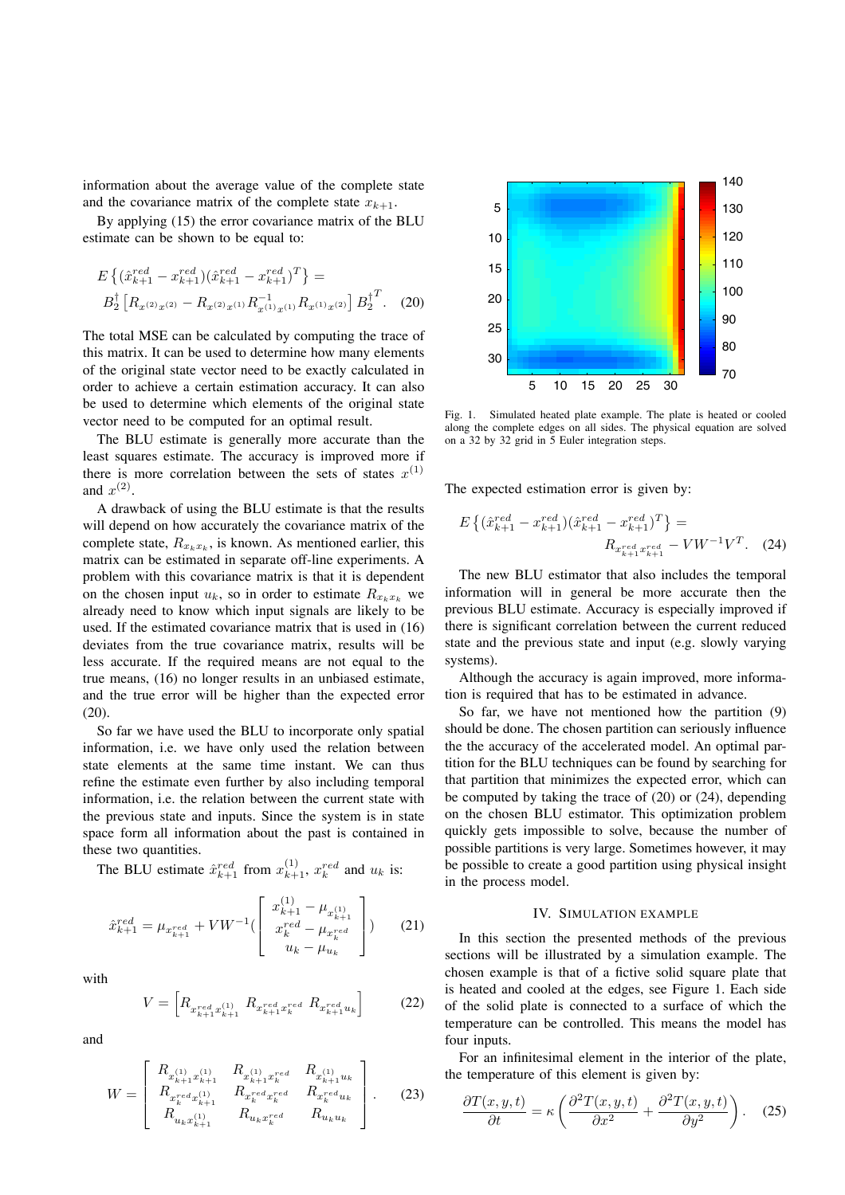information about the average value of the complete state and the covariance matrix of the complete state  $x_{k+1}$ .

By applying (15) the error covariance matrix of the BLU estimate can be shown to be equal to:

$$
E\left\{ (\hat{x}_{k+1}^{red} - x_{k+1}^{red})(\hat{x}_{k+1}^{red} - x_{k+1}^{red})^T \right\} =
$$
  
\n
$$
B_2^{\dagger} \left[ R_{x^{(2)}x^{(2)}} - R_{x^{(2)}x^{(1)}} R_{x^{(1)}x^{(1)}}^{-1} R_{x^{(1)}x^{(2)}} \right] B_2^{\dagger T}.
$$
 (20)

The total MSE can be calculated by computing the trace of this matrix. It can be used to determine how many elements of the original state vector need to be exactly calculated in order to achieve a certain estimation accuracy. It can also be used to determine which elements of the original state vector need to be computed for an optimal result.

The BLU estimate is generally more accurate than the least squares estimate. The accuracy is improved more if there is more correlation between the sets of states  $x^{(1)}$ and  $x^{(2)}$ .

A drawback of using the BLU estimate is that the results will depend on how accurately the covariance matrix of the complete state,  $R_{x_kx_k}$ , is known. As mentioned earlier, this matrix can be estimated in separate off-line experiments. A problem with this covariance matrix is that it is dependent on the chosen input  $u_k$ , so in order to estimate  $R_{x_k x_k}$  we already need to know which input signals are likely to be used. If the estimated covariance matrix that is used in (16) deviates from the true covariance matrix, results will be less accurate. If the required means are not equal to the true means, (16) no longer results in an unbiased estimate, and the true error will be higher than the expected error (20).

So far we have used the BLU to incorporate only spatial information, i.e. we have only used the relation between state elements at the same time instant. We can thus refine the estimate even further by also including temporal information, i.e. the relation between the current state with the previous state and inputs. Since the system is in state space form all information about the past is contained in these two quantities.

The BLU estimate  $\hat{x}_{k+1}^{red}$  from  $x_{k+1}^{(1)}$ ,  $x_k^{red}$  and  $u_k$  is:

$$
\hat{x}_{k+1}^{red} = \mu_{x_{k+1}^{red}} + VW^{-1} \begin{pmatrix} x_{k+1}^{(1)} - \mu_{x_{k+1}^{(1)}} \\ x_k^{red} - \mu_{x_k^{red}} \\ u_k - \mu_{u_k} \end{pmatrix}
$$
 (21)

with

$$
V = \left[ R_{x_{k+1}^{red} x_{k+1}^{(1)}} \ R_{x_{k+1}^{red} x_k^{red}} \ R_{x_{k+1}^{red} u_k} \right] \tag{22}
$$

and

$$
W = \begin{bmatrix} R_{x_{k+1}^{(1)}x_{k+1}^{(1)}} & R_{x_{k+1}^{(1)}x_k^{red}} & R_{x_{k+1}^{(1)}u_k} \\ R_{x_k^{red}x_{k+1}^{(1)}} & R_{x_k^{red}x_k^{red}} & R_{x_k^{red}u_k} \\ R_{u_kx_{k+1}^{(1)}} & R_{u_kx_k^{red}} & R_{u_ku_k} \end{bmatrix} .
$$
 (23)



Fig. 1. Simulated heated plate example. The plate is heated or cooled along the complete edges on all sides. The physical equation are solved on a 32 by 32 grid in 5 Euler integration steps.

The expected estimation error is given by:

$$
E\left\{ (\hat{x}_{k+1}^{red} - x_{k+1}^{red})(\hat{x}_{k+1}^{red} - x_{k+1}^{red})^T \right\} =
$$
  

$$
R_{x_{k+1}^{red} x_{k+1}^{red}} - VW^{-1}V^T.
$$
 (24)

The new BLU estimator that also includes the temporal information will in general be more accurate then the previous BLU estimate. Accuracy is especially improved if there is significant correlation between the current reduced state and the previous state and input (e.g. slowly varying systems).

Although the accuracy is again improved, more information is required that has to be estimated in advance.

So far, we have not mentioned how the partition (9) should be done. The chosen partition can seriously influence the the accuracy of the accelerated model. An optimal partition for the BLU techniques can be found by searching for that partition that minimizes the expected error, which can be computed by taking the trace of (20) or (24), depending on the chosen BLU estimator. This optimization problem quickly gets impossible to solve, because the number of possible partitions is very large. Sometimes however, it may be possible to create a good partition using physical insight in the process model.

#### IV. SIMULATION EXAMPLE

In this section the presented methods of the previous sections will be illustrated by a simulation example. The chosen example is that of a fictive solid square plate that is heated and cooled at the edges, see Figure 1. Each side of the solid plate is connected to a surface of which the temperature can be controlled. This means the model has four inputs.

For an infinitesimal element in the interior of the plate, the temperature of this element is given by:

$$
\frac{\partial T(x,y,t)}{\partial t} = \kappa \left( \frac{\partial^2 T(x,y,t)}{\partial x^2} + \frac{\partial^2 T(x,y,t)}{\partial y^2} \right). \quad (25)
$$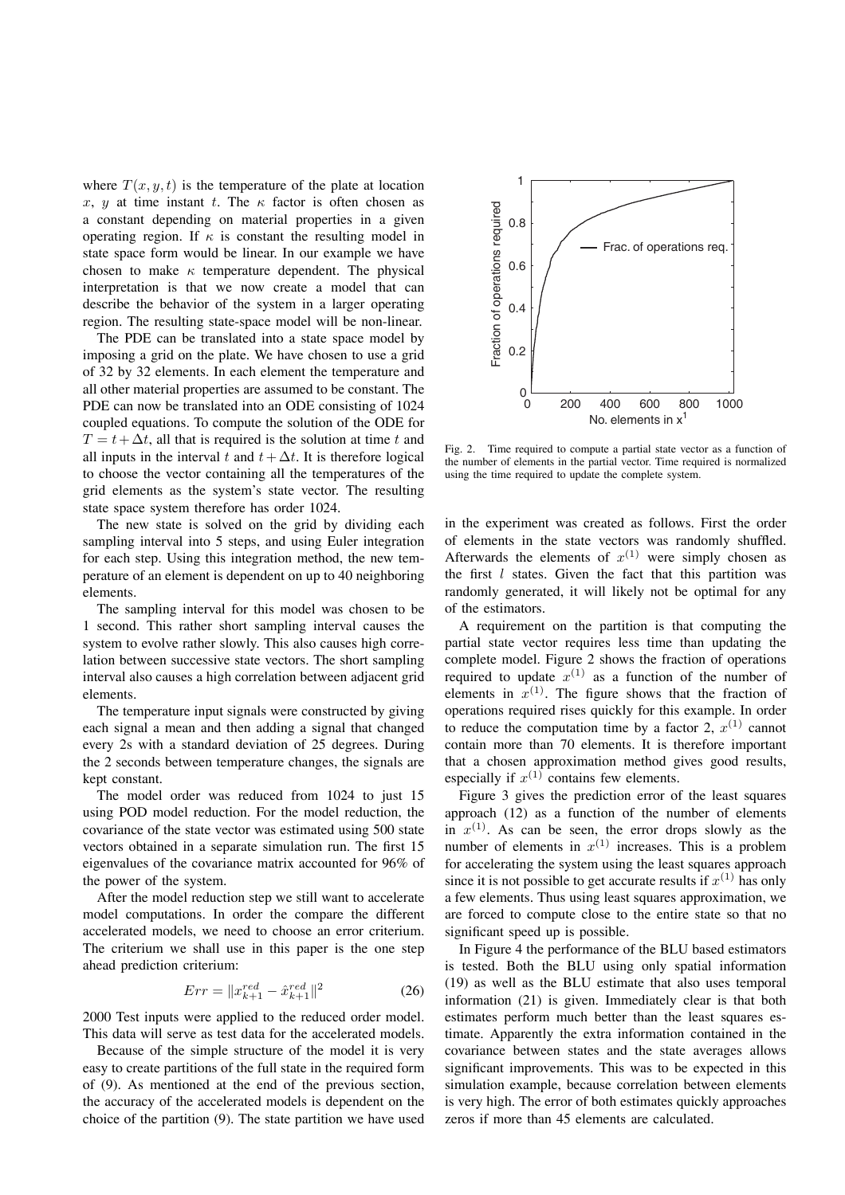where  $T(x, y, t)$  is the temperature of the plate at location x, y at time instant t. The  $\kappa$  factor is often chosen as a constant depending on material properties in a given operating region. If  $\kappa$  is constant the resulting model in state space form would be linear. In our example we have chosen to make  $\kappa$  temperature dependent. The physical interpretation is that we now create a model that can describe the behavior of the system in a larger operating region. The resulting state-space model will be non-linear.

The PDE can be translated into a state space model by imposing a grid on the plate. We have chosen to use a grid of 32 by 32 elements. In each element the temperature and all other material properties are assumed to be constant. The PDE can now be translated into an ODE consisting of 1024 coupled equations. To compute the solution of the ODE for  $T = t + \Delta t$ , all that is required is the solution at time t and all inputs in the interval t and  $t + \Delta t$ . It is therefore logical to choose the vector containing all the temperatures of the grid elements as the system's state vector. The resulting state space system therefore has order 1024.

The new state is solved on the grid by dividing each sampling interval into 5 steps, and using Euler integration for each step. Using this integration method, the new temperature of an element is dependent on up to 40 neighboring elements.

The sampling interval for this model was chosen to be 1 second. This rather short sampling interval causes the system to evolve rather slowly. This also causes high correlation between successive state vectors. The short sampling interval also causes a high correlation between adjacent grid elements.

The temperature input signals were constructed by giving each signal a mean and then adding a signal that changed every 2s with a standard deviation of 25 degrees. During the 2 seconds between temperature changes, the signals are kept constant.

The model order was reduced from 1024 to just 15 using POD model reduction. For the model reduction, the covariance of the state vector was estimated using 500 state vectors obtained in a separate simulation run. The first 15 eigenvalues of the covariance matrix accounted for 96% of the power of the system.

After the model reduction step we still want to accelerate model computations. In order the compare the different accelerated models, we need to choose an error criterium. The criterium we shall use in this paper is the one step ahead prediction criterium:

$$
Err = \|x_{k+1}^{red} - \hat{x}_{k+1}^{red}\|^2 \tag{26}
$$

2000 Test inputs were applied to the reduced order model. This data will serve as test data for the accelerated models.

Because of the simple structure of the model it is very easy to create partitions of the full state in the required form of (9). As mentioned at the end of the previous section, the accuracy of the accelerated models is dependent on the choice of the partition (9). The state partition we have used



Fig. 2. Time required to compute a partial state vector as a function of the number of elements in the partial vector. Time required is normalized using the time required to update the complete system.

in the experiment was created as follows. First the order of elements in the state vectors was randomly shuffled. Afterwards the elements of  $x^{(1)}$  were simply chosen as the first  $l$  states. Given the fact that this partition was randomly generated, it will likely not be optimal for any of the estimators.

A requirement on the partition is that computing the partial state vector requires less time than updating the complete model. Figure 2 shows the fraction of operations required to update  $x^{(1)}$  as a function of the number of elements in  $x^{(1)}$ . The figure shows that the fraction of operations required rises quickly for this example. In order to reduce the computation time by a factor 2,  $x^{(1)}$  cannot contain more than 70 elements. It is therefore important that a chosen approximation method gives good results, especially if  $x^{(1)}$  contains few elements.

Figure 3 gives the prediction error of the least squares approach (12) as a function of the number of elements in  $x^{(1)}$ . As can be seen, the error drops slowly as the number of elements in  $x^{(1)}$  increases. This is a problem for accelerating the system using the least squares approach since it is not possible to get accurate results if  $x^{(1)}$  has only a few elements. Thus using least squares approximation, we are forced to compute close to the entire state so that no significant speed up is possible.

In Figure 4 the performance of the BLU based estimators is tested. Both the BLU using only spatial information (19) as well as the BLU estimate that also uses temporal information (21) is given. Immediately clear is that both estimates perform much better than the least squares estimate. Apparently the extra information contained in the covariance between states and the state averages allows significant improvements. This was to be expected in this simulation example, because correlation between elements is very high. The error of both estimates quickly approaches zeros if more than 45 elements are calculated.